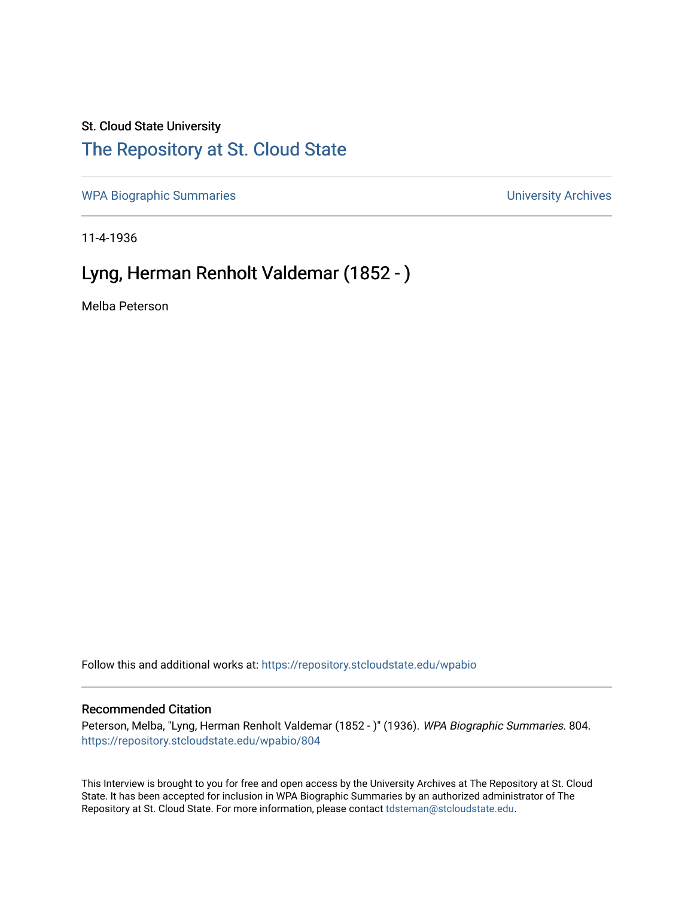### St. Cloud State University

## [The Repository at St. Cloud State](https://repository.stcloudstate.edu/)

[WPA Biographic Summaries](https://repository.stcloudstate.edu/wpabio) **WPA Biographic Summaries University Archives** 

11-4-1936

# Lyng, Herman Renholt Valdemar (1852 - )

Melba Peterson

Follow this and additional works at: [https://repository.stcloudstate.edu/wpabio](https://repository.stcloudstate.edu/wpabio?utm_source=repository.stcloudstate.edu%2Fwpabio%2F804&utm_medium=PDF&utm_campaign=PDFCoverPages) 

#### Recommended Citation

Peterson, Melba, "Lyng, Herman Renholt Valdemar (1852 - )" (1936). WPA Biographic Summaries. 804. [https://repository.stcloudstate.edu/wpabio/804](https://repository.stcloudstate.edu/wpabio/804?utm_source=repository.stcloudstate.edu%2Fwpabio%2F804&utm_medium=PDF&utm_campaign=PDFCoverPages) 

This Interview is brought to you for free and open access by the University Archives at The Repository at St. Cloud State. It has been accepted for inclusion in WPA Biographic Summaries by an authorized administrator of The Repository at St. Cloud State. For more information, please contact [tdsteman@stcloudstate.edu.](mailto:tdsteman@stcloudstate.edu)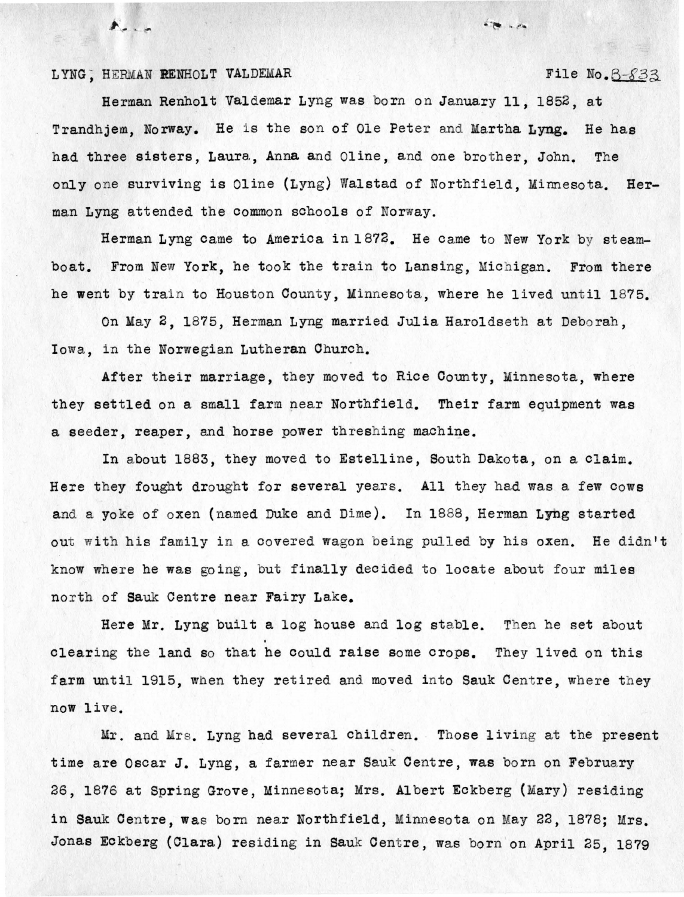#### LYNG; HERMAN **RENHOLT** VALDEMAR

 $\mathcal{N}_{\alpha}$ 

File No.  $3-833$ 

 $-2$ 

Herman Renholt Valdemar Lyng was born on January 11, 1852, at Trandhjem, Norway. He is the son of Ole Peter and Martha **Lyng.** He has had three sisters, Laura, Anna and Oline, and one brother, John. The only one surviving is Oline (Lyng) Walstad of Northfield, Minnesota. Herman Lyng attended the common schools of Norway.

Herman Lyng came to America in 1872. He came to New York by steamboat. From New York, he took the train to Lansing, Michigan. From there he went by train to Houston County, Minnesota, where he lived until 1875.

On May 2, 1875, Herman Lyng married Julia Haroldseth at Deborah, Iowa, in the Norwegian Lutheran Church.

After their marriage, they moved to Rice County, Minnesota, where they settled on a small farm near Northfield. Their farm equipment was a seeder, reaper, and horse power threshing machine.

In about 1883, they moved to Estelline, South Dakota, on a claim. Here they fought drought for several years. All they had was a few cows and a yoke of oxen (named Duke and Dime). In 1888, Herman Lyng started out with his family in a covered wagon being pulled by his oxen. He didn't know where he was going, but finally decided to locate about four miles north of Sauk Centre near Fairy Lake.

Here Mr. Lyng built a log house and log stable. Then he set about clearing the land so that he could raise some crops. They lived on this farm until 1915, when they retired and moved into Sauk Centre, where they now live.

Mr. and Mrs. Lyng had several children. Those living at the present time are Oscar J. Lyng, a farmer near Sauk Centre, was born on February 26, 1876 at Spring Grove, Minnesota; Mrs. Albert Eckberg (Mary) residing in Sauk Centre, was born near Northfield, Minnesota on May 22, 1878; Mrs. Jonas Eckberg (Clara) residing in Sauk Centre, was born on April 25, 1879